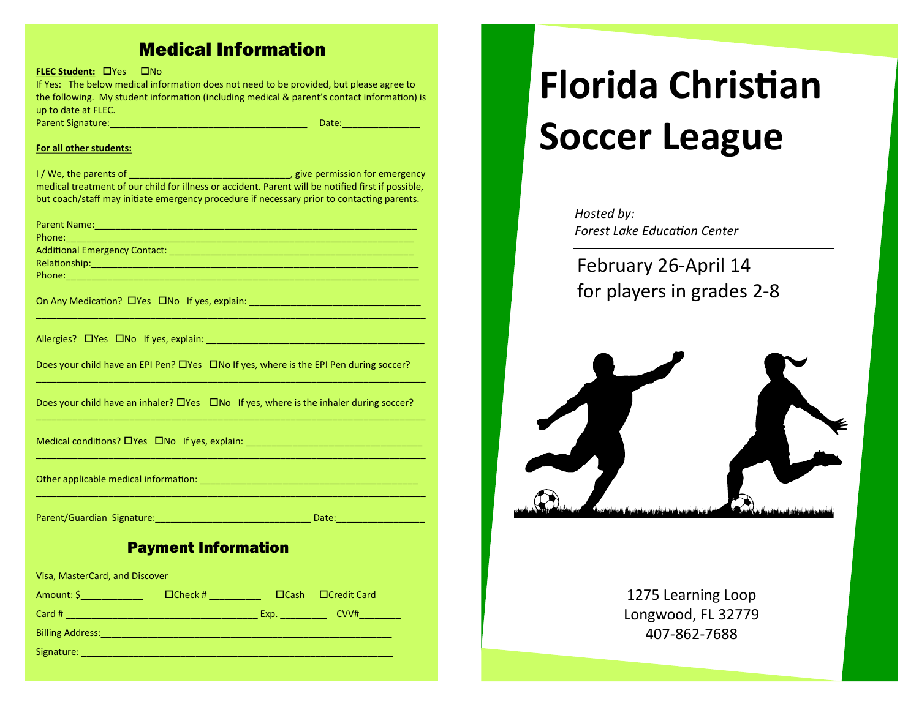# Medical Information

**FLEC Student: CPYES CONDITION** 

If Yes: The below medical information does not need to be provided, but please agree to the following. My student information (including medical & parent's contact information) is up to date at FLEC. Parent Signature:\_\_\_\_\_\_\_\_\_\_\_\_\_\_\_\_\_\_\_\_\_\_\_\_\_\_\_\_\_\_\_\_\_\_\_\_\_\_ Date:\_\_\_\_\_\_\_\_\_\_\_\_\_\_\_

## **For all other students:**

I / We, the parents of \_\_\_\_\_\_\_\_\_\_\_\_\_\_\_\_\_\_\_\_\_\_\_\_\_\_\_\_\_\_\_, give permission for emergency medical treatment of our child for illness or accident. Parent will be notified first if possible, but coach/staff may initiate emergency procedure if necessary prior to contacting parents.

| Does your child have an EPI Pen? DYes DNo If yes, where is the EPI Pen during soccer?             |  |  |  |  |
|---------------------------------------------------------------------------------------------------|--|--|--|--|
|                                                                                                   |  |  |  |  |
|                                                                                                   |  |  |  |  |
| Does your child have an inhaler? $\Box$ Yes $\Box$ No If yes, where is the inhaler during soccer? |  |  |  |  |
|                                                                                                   |  |  |  |  |
| Medical conditions? DYes DNo If yes, explain: __________________________________                  |  |  |  |  |
|                                                                                                   |  |  |  |  |
|                                                                                                   |  |  |  |  |
|                                                                                                   |  |  |  |  |
|                                                                                                   |  |  |  |  |
| Parent/Guardian Signature:<br>Date:                                                               |  |  |  |  |

## Payment Information

Visa, MasterCard, and Discover

| Amount: \$              | $\Box$ Check # | $\Box$ Cash | $\Box$ Credit Card |
|-------------------------|----------------|-------------|--------------------|
| Card #                  |                | Exp.        | CVV#               |
| <b>Billing Address:</b> |                |             |                    |
| Signature:              |                |             |                    |

# **Florida Christian Soccer League**

*Hosted by: Forest Lake Education Center*

February 26-April 14 for players in grades 2-8



1275 Learning Loop Longwood, FL 32779 407-862-7688